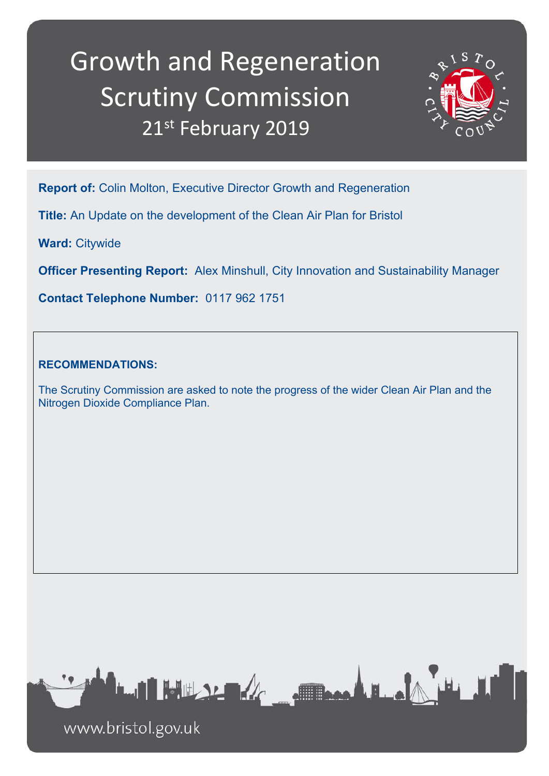# Growth and Regeneration Scrutiny Commission 21st February 2019



**Report of:** Colin Molton, Executive Director Growth and Regeneration

**Title:** An Update on the development of the Clean Air Plan for Bristol

**Ward:** Citywide

**Officer Presenting Report:** Alex Minshull, City Innovation and Sustainability Manager

**Contact Telephone Number:** 0117 962 1751

## **RECOMMENDATIONS:**

The Scrutiny Commission are asked to note the progress of the wider Clean Air Plan and the Nitrogen Dioxide Compliance Plan.



www.bristol.gov.uk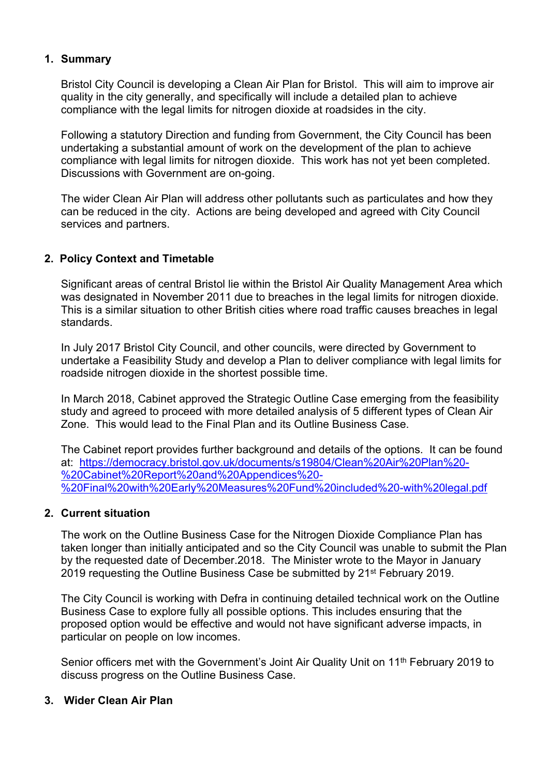## **1. Summary**

Bristol City Council is developing a Clean Air Plan for Bristol. This will aim to improve air quality in the city generally, and specifically will include a detailed plan to achieve compliance with the legal limits for nitrogen dioxide at roadsides in the city.

Following a statutory Direction and funding from Government, the City Council has been undertaking a substantial amount of work on the development of the plan to achieve compliance with legal limits for nitrogen dioxide. This work has not yet been completed. Discussions with Government are on-going.

The wider Clean Air Plan will address other pollutants such as particulates and how they can be reduced in the city. Actions are being developed and agreed with City Council services and partners.

## **2. Policy Context and Timetable**

Significant areas of central Bristol lie within the Bristol Air Quality Management Area which was designated in November 2011 due to breaches in the legal limits for nitrogen dioxide. This is a similar situation to other British cities where road traffic causes breaches in legal standards.

In July 2017 Bristol City Council, and other councils, were directed by Government to undertake a Feasibility Study and develop a Plan to deliver compliance with legal limits for roadside nitrogen dioxide in the shortest possible time.

In March 2018, Cabinet approved the Strategic Outline Case emerging from the feasibility study and agreed to proceed with more detailed analysis of 5 different types of Clean Air Zone. This would lead to the Final Plan and its Outline Business Case.

The Cabinet report provides further background and details of the options. It can be found at: [https://democracy.bristol.gov.uk/documents/s19804/Clean%20Air%20Plan%20-](https://democracy.bristol.gov.uk/documents/s19804/Clean%20Air%20Plan%20-%20Cabinet%20Report%20and%20Appendices%20-%20Final%20with%20Early%20Measures%20Fund%20included%20-with%20legal.pdf) [%20Cabinet%20Report%20and%20Appendices%20-](https://democracy.bristol.gov.uk/documents/s19804/Clean%20Air%20Plan%20-%20Cabinet%20Report%20and%20Appendices%20-%20Final%20with%20Early%20Measures%20Fund%20included%20-with%20legal.pdf) [%20Final%20with%20Early%20Measures%20Fund%20included%20-with%20legal.pdf](https://democracy.bristol.gov.uk/documents/s19804/Clean%20Air%20Plan%20-%20Cabinet%20Report%20and%20Appendices%20-%20Final%20with%20Early%20Measures%20Fund%20included%20-with%20legal.pdf)

### **2. Current situation**

The work on the Outline Business Case for the Nitrogen Dioxide Compliance Plan has taken longer than initially anticipated and so the City Council was unable to submit the Plan by the requested date of December.2018. The Minister wrote to the Mayor in January 2019 requesting the Outline Business Case be submitted by 21<sup>st</sup> February 2019.

The City Council is working with Defra in continuing detailed technical work on the Outline Business Case to explore fully all possible options. This includes ensuring that the proposed option would be effective and would not have significant adverse impacts, in particular on people on low incomes.

Senior officers met with the Government's Joint Air Quality Unit on 11<sup>th</sup> February 2019 to discuss progress on the Outline Business Case.

### **3. Wider Clean Air Plan**